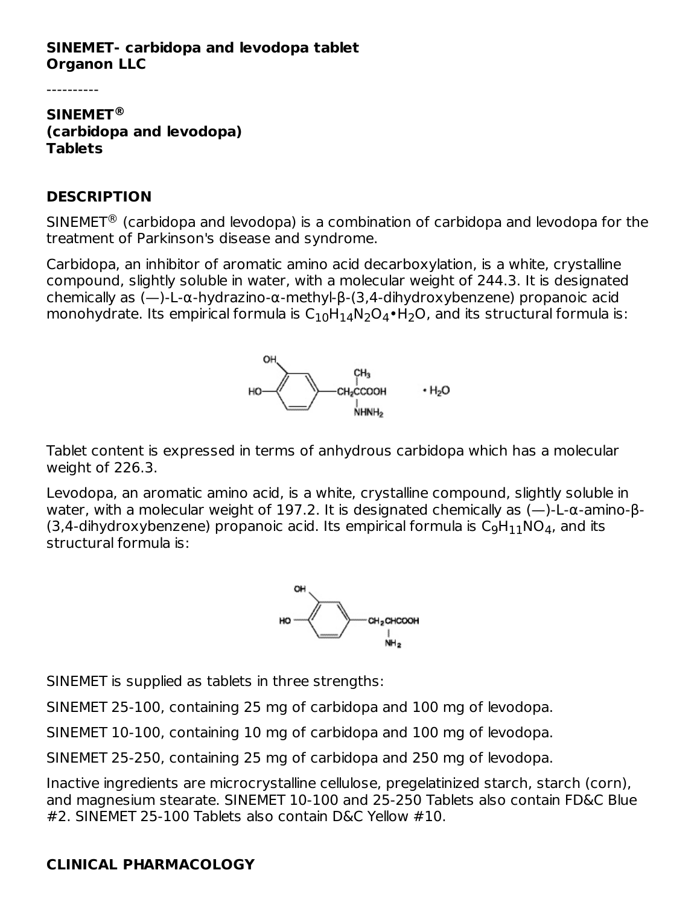#### **SINEMET- carbidopa and levodopa tablet Organon LLC**

#### **SINEMET ® (carbidopa and levodopa) Tablets**

#### **DESCRIPTION**

SINEMET $^\circledR$  (carbidopa and levodopa) is a combination of carbidopa and levodopa for the treatment of Parkinson's disease and syndrome.

Carbidopa, an inhibitor of aromatic amino acid decarboxylation, is a white, crystalline compound, slightly soluble in water, with a molecular weight of 244.3. It is designated chemically as (—)-L-α-hydrazino-α-methyl-β-(3,4-dihydroxybenzene) propanoic acid monohydrate. Its empirical formula is  $\rm C_{10}H_{14}N_2O_4$ • $\rm H_2O$ , and its structural formula is:



Tablet content is expressed in terms of anhydrous carbidopa which has a molecular weight of 226.3.

Levodopa, an aromatic amino acid, is a white, crystalline compound, slightly soluble in water, with a molecular weight of 197.2. It is designated chemically as (—)-L-α-amino-β- (3,4-dihydroxybenzene) propanoic acid. Its empirical formula is  $\mathsf{C}_9\mathsf{H}_{11}\mathsf{NO}_4$ , and its structural formula is:



SINEMET is supplied as tablets in three strengths:

SINEMET 25-100, containing 25 mg of carbidopa and 100 mg of levodopa.

SINEMET 10-100, containing 10 mg of carbidopa and 100 mg of levodopa.

SINEMET 25-250, containing 25 mg of carbidopa and 250 mg of levodopa.

Inactive ingredients are microcrystalline cellulose, pregelatinized starch, starch (corn), and magnesium stearate. SINEMET 10-100 and 25-250 Tablets also contain FD&C Blue #2. SINEMET 25-100 Tablets also contain D&C Yellow #10.

# **CLINICAL PHARMACOLOGY**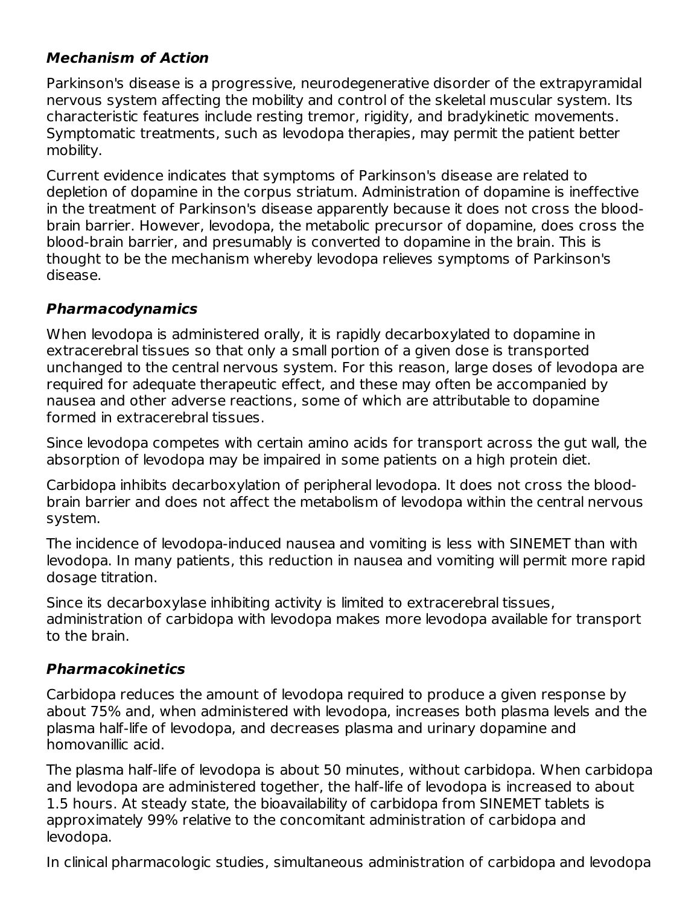## **Mechanism of Action**

Parkinson's disease is a progressive, neurodegenerative disorder of the extrapyramidal nervous system affecting the mobility and control of the skeletal muscular system. Its characteristic features include resting tremor, rigidity, and bradykinetic movements. Symptomatic treatments, such as levodopa therapies, may permit the patient better mobility.

Current evidence indicates that symptoms of Parkinson's disease are related to depletion of dopamine in the corpus striatum. Administration of dopamine is ineffective in the treatment of Parkinson's disease apparently because it does not cross the bloodbrain barrier. However, levodopa, the metabolic precursor of dopamine, does cross the blood-brain barrier, and presumably is converted to dopamine in the brain. This is thought to be the mechanism whereby levodopa relieves symptoms of Parkinson's disease.

#### **Pharmacodynamics**

When levodopa is administered orally, it is rapidly decarboxylated to dopamine in extracerebral tissues so that only a small portion of a given dose is transported unchanged to the central nervous system. For this reason, large doses of levodopa are required for adequate therapeutic effect, and these may often be accompanied by nausea and other adverse reactions, some of which are attributable to dopamine formed in extracerebral tissues.

Since levodopa competes with certain amino acids for transport across the gut wall, the absorption of levodopa may be impaired in some patients on a high protein diet.

Carbidopa inhibits decarboxylation of peripheral levodopa. It does not cross the bloodbrain barrier and does not affect the metabolism of levodopa within the central nervous system.

The incidence of levodopa-induced nausea and vomiting is less with SINEMET than with levodopa. In many patients, this reduction in nausea and vomiting will permit more rapid dosage titration.

Since its decarboxylase inhibiting activity is limited to extracerebral tissues, administration of carbidopa with levodopa makes more levodopa available for transport to the brain.

## **Pharmacokinetics**

Carbidopa reduces the amount of levodopa required to produce a given response by about 75% and, when administered with levodopa, increases both plasma levels and the plasma half-life of levodopa, and decreases plasma and urinary dopamine and homovanillic acid.

The plasma half-life of levodopa is about 50 minutes, without carbidopa. When carbidopa and levodopa are administered together, the half-life of levodopa is increased to about 1.5 hours. At steady state, the bioavailability of carbidopa from SINEMET tablets is approximately 99% relative to the concomitant administration of carbidopa and levodopa.

In clinical pharmacologic studies, simultaneous administration of carbidopa and levodopa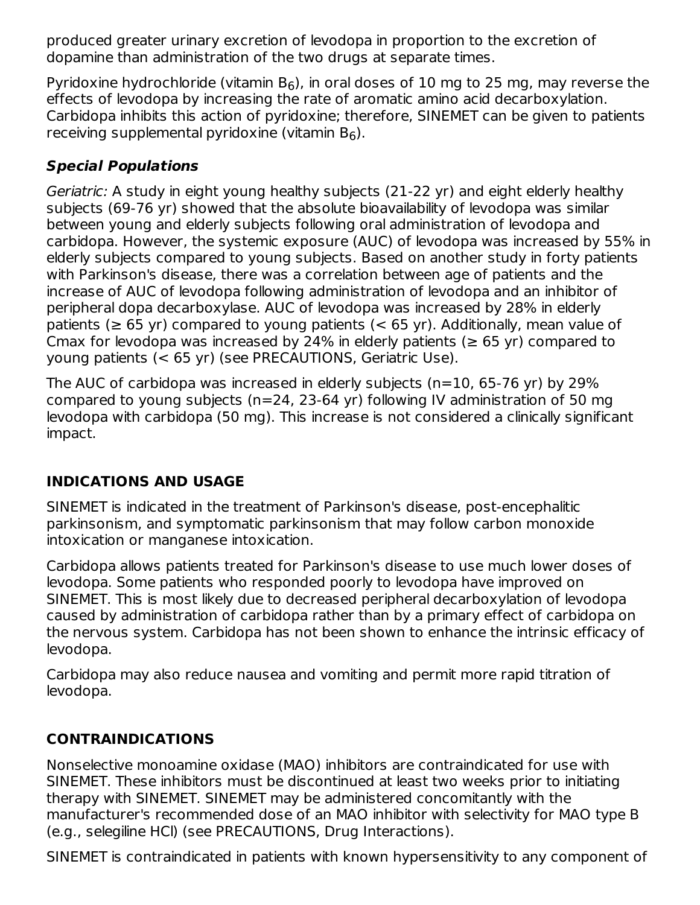produced greater urinary excretion of levodopa in proportion to the excretion of dopamine than administration of the two drugs at separate times.

Pyridoxine hydrochloride (vitamin B $_6$ ), in oral doses of  $10$  mg to 25 mg, may reverse the effects of levodopa by increasing the rate of aromatic amino acid decarboxylation. Carbidopa inhibits this action of pyridoxine; therefore, SINEMET can be given to patients receiving supplemental pyridoxine (vitamin B $_6$ ).

# **Special Populations**

Geriatric: A study in eight young healthy subjects (21-22 yr) and eight elderly healthy subjects (69-76 yr) showed that the absolute bioavailability of levodopa was similar between young and elderly subjects following oral administration of levodopa and carbidopa. However, the systemic exposure (AUC) of levodopa was increased by 55% in elderly subjects compared to young subjects. Based on another study in forty patients with Parkinson's disease, there was a correlation between age of patients and the increase of AUC of levodopa following administration of levodopa and an inhibitor of peripheral dopa decarboxylase. AUC of levodopa was increased by 28% in elderly patients ( $\geq 65$  yr) compared to young patients ( $\lt 65$  yr). Additionally, mean value of Cmax for levodopa was increased by 24% in elderly patients ( $\geq$  65 yr) compared to young patients (< 65 yr) (see PRECAUTIONS, Geriatric Use).

The AUC of carbidopa was increased in elderly subjects (n=10, 65-76 yr) by 29% compared to young subjects (n=24, 23-64 yr) following IV administration of 50 mg levodopa with carbidopa (50 mg). This increase is not considered a clinically significant impact.

# **INDICATIONS AND USAGE**

SINEMET is indicated in the treatment of Parkinson's disease, post-encephalitic parkinsonism, and symptomatic parkinsonism that may follow carbon monoxide intoxication or manganese intoxication.

Carbidopa allows patients treated for Parkinson's disease to use much lower doses of levodopa. Some patients who responded poorly to levodopa have improved on SINEMET. This is most likely due to decreased peripheral decarboxylation of levodopa caused by administration of carbidopa rather than by a primary effect of carbidopa on the nervous system. Carbidopa has not been shown to enhance the intrinsic efficacy of levodopa.

Carbidopa may also reduce nausea and vomiting and permit more rapid titration of levodopa.

# **CONTRAINDICATIONS**

Nonselective monoamine oxidase (MAO) inhibitors are contraindicated for use with SINEMET. These inhibitors must be discontinued at least two weeks prior to initiating therapy with SINEMET. SINEMET may be administered concomitantly with the manufacturer's recommended dose of an MAO inhibitor with selectivity for MAO type B (e.g., selegiline HCl) (see PRECAUTIONS, Drug Interactions).

SINEMET is contraindicated in patients with known hypersensitivity to any component of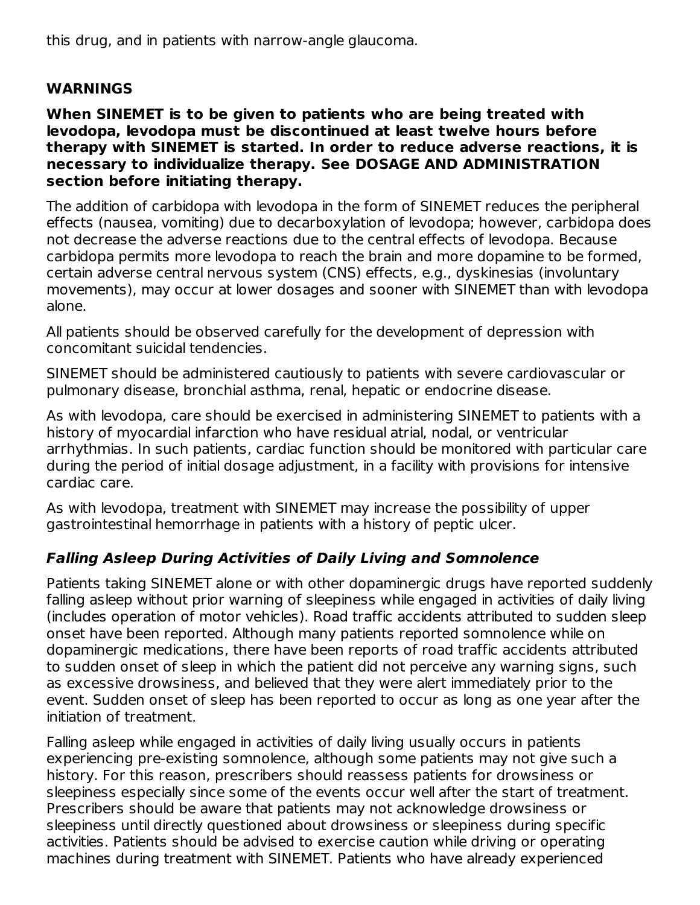this drug, and in patients with narrow-angle glaucoma.

#### **WARNINGS**

**When SINEMET is to be given to patients who are being treated with levodopa, levodopa must be discontinued at least twelve hours before therapy with SINEMET is started. In order to reduce adverse reactions, it is necessary to individualize therapy. See DOSAGE AND ADMINISTRATION section before initiating therapy.**

The addition of carbidopa with levodopa in the form of SINEMET reduces the peripheral effects (nausea, vomiting) due to decarboxylation of levodopa; however, carbidopa does not decrease the adverse reactions due to the central effects of levodopa. Because carbidopa permits more levodopa to reach the brain and more dopamine to be formed, certain adverse central nervous system (CNS) effects, e.g., dyskinesias (involuntary movements), may occur at lower dosages and sooner with SINEMET than with levodopa alone.

All patients should be observed carefully for the development of depression with concomitant suicidal tendencies.

SINEMET should be administered cautiously to patients with severe cardiovascular or pulmonary disease, bronchial asthma, renal, hepatic or endocrine disease.

As with levodopa, care should be exercised in administering SINEMET to patients with a history of myocardial infarction who have residual atrial, nodal, or ventricular arrhythmias. In such patients, cardiac function should be monitored with particular care during the period of initial dosage adjustment, in a facility with provisions for intensive cardiac care.

As with levodopa, treatment with SINEMET may increase the possibility of upper gastrointestinal hemorrhage in patients with a history of peptic ulcer.

## **Falling Asleep During Activities of Daily Living and Somnolence**

Patients taking SINEMET alone or with other dopaminergic drugs have reported suddenly falling asleep without prior warning of sleepiness while engaged in activities of daily living (includes operation of motor vehicles). Road traffic accidents attributed to sudden sleep onset have been reported. Although many patients reported somnolence while on dopaminergic medications, there have been reports of road traffic accidents attributed to sudden onset of sleep in which the patient did not perceive any warning signs, such as excessive drowsiness, and believed that they were alert immediately prior to the event. Sudden onset of sleep has been reported to occur as long as one year after the initiation of treatment.

Falling asleep while engaged in activities of daily living usually occurs in patients experiencing pre-existing somnolence, although some patients may not give such a history. For this reason, prescribers should reassess patients for drowsiness or sleepiness especially since some of the events occur well after the start of treatment. Prescribers should be aware that patients may not acknowledge drowsiness or sleepiness until directly questioned about drowsiness or sleepiness during specific activities. Patients should be advised to exercise caution while driving or operating machines during treatment with SINEMET. Patients who have already experienced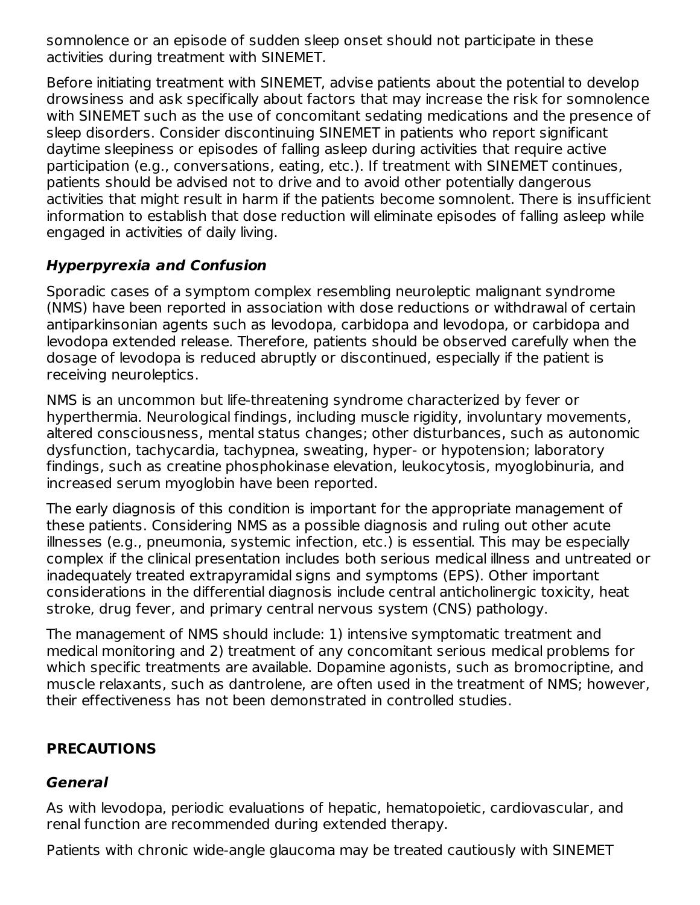somnolence or an episode of sudden sleep onset should not participate in these activities during treatment with SINEMET.

Before initiating treatment with SINEMET, advise patients about the potential to develop drowsiness and ask specifically about factors that may increase the risk for somnolence with SINEMET such as the use of concomitant sedating medications and the presence of sleep disorders. Consider discontinuing SINEMET in patients who report significant daytime sleepiness or episodes of falling asleep during activities that require active participation (e.g., conversations, eating, etc.). If treatment with SINEMET continues, patients should be advised not to drive and to avoid other potentially dangerous activities that might result in harm if the patients become somnolent. There is insufficient information to establish that dose reduction will eliminate episodes of falling asleep while engaged in activities of daily living.

## **Hyperpyrexia and Confusion**

Sporadic cases of a symptom complex resembling neuroleptic malignant syndrome (NMS) have been reported in association with dose reductions or withdrawal of certain antiparkinsonian agents such as levodopa, carbidopa and levodopa, or carbidopa and levodopa extended release. Therefore, patients should be observed carefully when the dosage of levodopa is reduced abruptly or discontinued, especially if the patient is receiving neuroleptics.

NMS is an uncommon but life-threatening syndrome characterized by fever or hyperthermia. Neurological findings, including muscle rigidity, involuntary movements, altered consciousness, mental status changes; other disturbances, such as autonomic dysfunction, tachycardia, tachypnea, sweating, hyper- or hypotension; laboratory findings, such as creatine phosphokinase elevation, leukocytosis, myoglobinuria, and increased serum myoglobin have been reported.

The early diagnosis of this condition is important for the appropriate management of these patients. Considering NMS as a possible diagnosis and ruling out other acute illnesses (e.g., pneumonia, systemic infection, etc.) is essential. This may be especially complex if the clinical presentation includes both serious medical illness and untreated or inadequately treated extrapyramidal signs and symptoms (EPS). Other important considerations in the differential diagnosis include central anticholinergic toxicity, heat stroke, drug fever, and primary central nervous system (CNS) pathology.

The management of NMS should include: 1) intensive symptomatic treatment and medical monitoring and 2) treatment of any concomitant serious medical problems for which specific treatments are available. Dopamine agonists, such as bromocriptine, and muscle relaxants, such as dantrolene, are often used in the treatment of NMS; however, their effectiveness has not been demonstrated in controlled studies.

# **PRECAUTIONS**

## **General**

As with levodopa, periodic evaluations of hepatic, hematopoietic, cardiovascular, and renal function are recommended during extended therapy.

Patients with chronic wide-angle glaucoma may be treated cautiously with SINEMET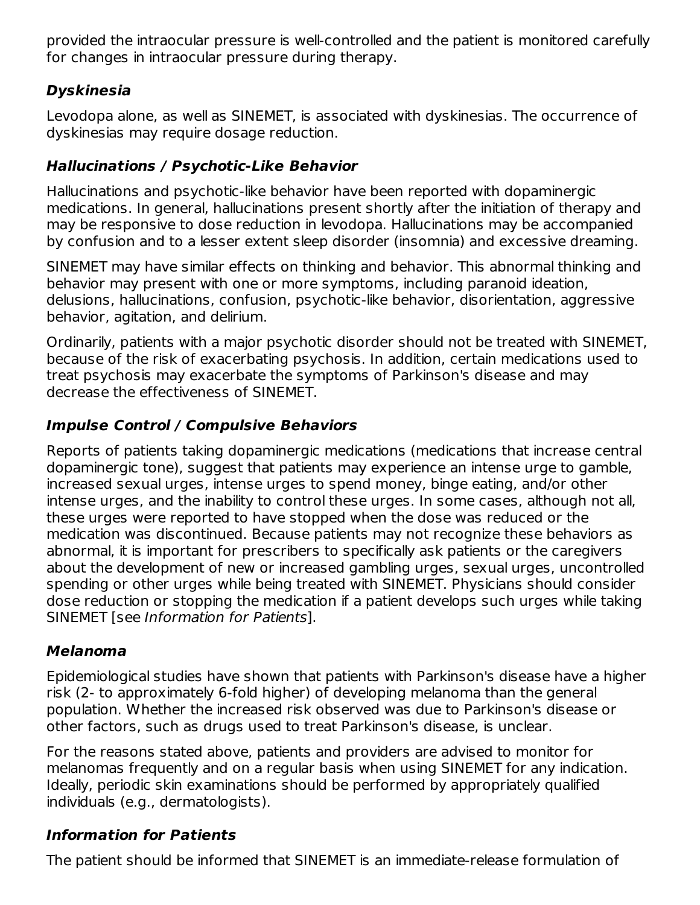provided the intraocular pressure is well-controlled and the patient is monitored carefully for changes in intraocular pressure during therapy.

## **Dyskinesia**

Levodopa alone, as well as SINEMET, is associated with dyskinesias. The occurrence of dyskinesias may require dosage reduction.

# **Hallucinations / Psychotic-Like Behavior**

Hallucinations and psychotic-like behavior have been reported with dopaminergic medications. In general, hallucinations present shortly after the initiation of therapy and may be responsive to dose reduction in levodopa. Hallucinations may be accompanied by confusion and to a lesser extent sleep disorder (insomnia) and excessive dreaming.

SINEMET may have similar effects on thinking and behavior. This abnormal thinking and behavior may present with one or more symptoms, including paranoid ideation, delusions, hallucinations, confusion, psychotic-like behavior, disorientation, aggressive behavior, agitation, and delirium.

Ordinarily, patients with a major psychotic disorder should not be treated with SINEMET, because of the risk of exacerbating psychosis. In addition, certain medications used to treat psychosis may exacerbate the symptoms of Parkinson's disease and may decrease the effectiveness of SINEMET.

# **Impulse Control / Compulsive Behaviors**

Reports of patients taking dopaminergic medications (medications that increase central dopaminergic tone), suggest that patients may experience an intense urge to gamble, increased sexual urges, intense urges to spend money, binge eating, and/or other intense urges, and the inability to control these urges. In some cases, although not all, these urges were reported to have stopped when the dose was reduced or the medication was discontinued. Because patients may not recognize these behaviors as abnormal, it is important for prescribers to specifically ask patients or the caregivers about the development of new or increased gambling urges, sexual urges, uncontrolled spending or other urges while being treated with SINEMET. Physicians should consider dose reduction or stopping the medication if a patient develops such urges while taking SINEMET [see Information for Patients].

# **Melanoma**

Epidemiological studies have shown that patients with Parkinson's disease have a higher risk (2- to approximately 6-fold higher) of developing melanoma than the general population. Whether the increased risk observed was due to Parkinson's disease or other factors, such as drugs used to treat Parkinson's disease, is unclear.

For the reasons stated above, patients and providers are advised to monitor for melanomas frequently and on a regular basis when using SINEMET for any indication. Ideally, periodic skin examinations should be performed by appropriately qualified individuals (e.g., dermatologists).

# **Information for Patients**

The patient should be informed that SINEMET is an immediate-release formulation of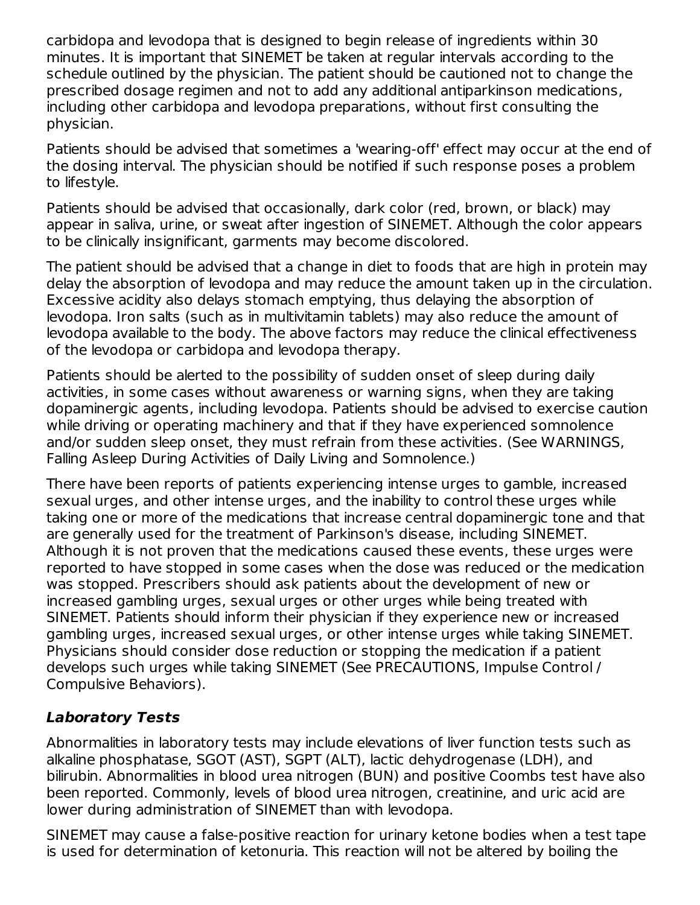carbidopa and levodopa that is designed to begin release of ingredients within 30 minutes. It is important that SINEMET be taken at regular intervals according to the schedule outlined by the physician. The patient should be cautioned not to change the prescribed dosage regimen and not to add any additional antiparkinson medications, including other carbidopa and levodopa preparations, without first consulting the physician.

Patients should be advised that sometimes a 'wearing-off' effect may occur at the end of the dosing interval. The physician should be notified if such response poses a problem to lifestyle.

Patients should be advised that occasionally, dark color (red, brown, or black) may appear in saliva, urine, or sweat after ingestion of SINEMET. Although the color appears to be clinically insignificant, garments may become discolored.

The patient should be advised that a change in diet to foods that are high in protein may delay the absorption of levodopa and may reduce the amount taken up in the circulation. Excessive acidity also delays stomach emptying, thus delaying the absorption of levodopa. Iron salts (such as in multivitamin tablets) may also reduce the amount of levodopa available to the body. The above factors may reduce the clinical effectiveness of the levodopa or carbidopa and levodopa therapy.

Patients should be alerted to the possibility of sudden onset of sleep during daily activities, in some cases without awareness or warning signs, when they are taking dopaminergic agents, including levodopa. Patients should be advised to exercise caution while driving or operating machinery and that if they have experienced somnolence and/or sudden sleep onset, they must refrain from these activities. (See WARNINGS, Falling Asleep During Activities of Daily Living and Somnolence.)

There have been reports of patients experiencing intense urges to gamble, increased sexual urges, and other intense urges, and the inability to control these urges while taking one or more of the medications that increase central dopaminergic tone and that are generally used for the treatment of Parkinson's disease, including SINEMET. Although it is not proven that the medications caused these events, these urges were reported to have stopped in some cases when the dose was reduced or the medication was stopped. Prescribers should ask patients about the development of new or increased gambling urges, sexual urges or other urges while being treated with SINEMET. Patients should inform their physician if they experience new or increased gambling urges, increased sexual urges, or other intense urges while taking SINEMET. Physicians should consider dose reduction or stopping the medication if a patient develops such urges while taking SINEMET (See PRECAUTIONS, Impulse Control / Compulsive Behaviors).

## **Laboratory Tests**

Abnormalities in laboratory tests may include elevations of liver function tests such as alkaline phosphatase, SGOT (AST), SGPT (ALT), lactic dehydrogenase (LDH), and bilirubin. Abnormalities in blood urea nitrogen (BUN) and positive Coombs test have also been reported. Commonly, levels of blood urea nitrogen, creatinine, and uric acid are lower during administration of SINEMET than with levodopa.

SINEMET may cause a false-positive reaction for urinary ketone bodies when a test tape is used for determination of ketonuria. This reaction will not be altered by boiling the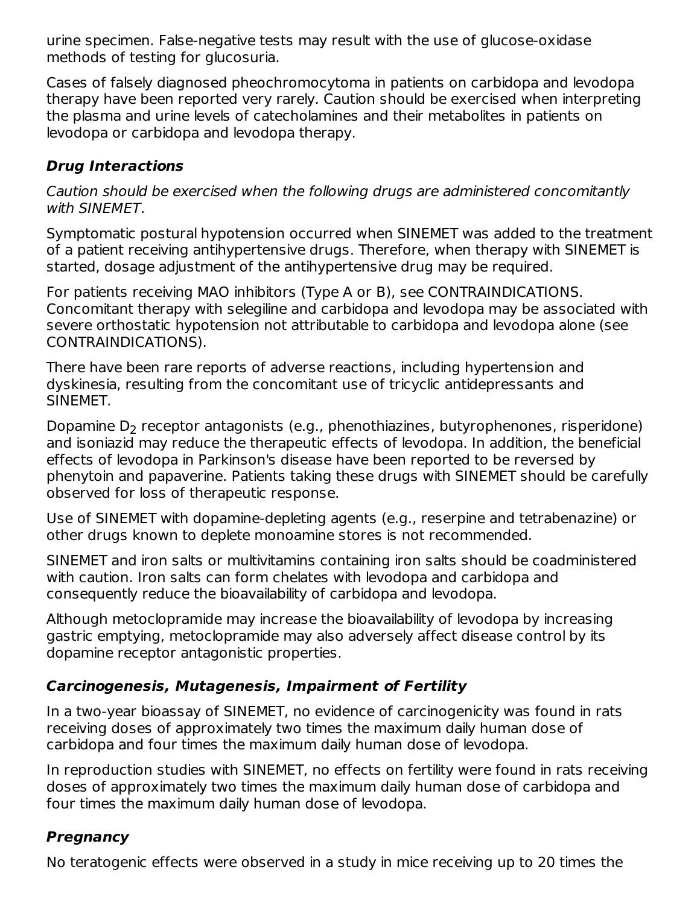urine specimen. False-negative tests may result with the use of glucose-oxidase methods of testing for glucosuria.

Cases of falsely diagnosed pheochromocytoma in patients on carbidopa and levodopa therapy have been reported very rarely. Caution should be exercised when interpreting the plasma and urine levels of catecholamines and their metabolites in patients on levodopa or carbidopa and levodopa therapy.

## **Drug Interactions**

Caution should be exercised when the following drugs are administered concomitantly with SINEMET.

Symptomatic postural hypotension occurred when SINEMET was added to the treatment of a patient receiving antihypertensive drugs. Therefore, when therapy with SINEMET is started, dosage adjustment of the antihypertensive drug may be required.

For patients receiving MAO inhibitors (Type A or B), see CONTRAINDICATIONS. Concomitant therapy with selegiline and carbidopa and levodopa may be associated with severe orthostatic hypotension not attributable to carbidopa and levodopa alone (see CONTRAINDICATIONS).

There have been rare reports of adverse reactions, including hypertension and dyskinesia, resulting from the concomitant use of tricyclic antidepressants and SINEMET.

Dopamine  $D_2$  receptor antagonists (e.g., phenothiazines, butyrophenones, risperidone) and isoniazid may reduce the therapeutic effects of levodopa. In addition, the beneficial effects of levodopa in Parkinson's disease have been reported to be reversed by phenytoin and papaverine. Patients taking these drugs with SINEMET should be carefully observed for loss of therapeutic response.

Use of SINEMET with dopamine-depleting agents (e.g., reserpine and tetrabenazine) or other drugs known to deplete monoamine stores is not recommended.

SINEMET and iron salts or multivitamins containing iron salts should be coadministered with caution. Iron salts can form chelates with levodopa and carbidopa and consequently reduce the bioavailability of carbidopa and levodopa.

Although metoclopramide may increase the bioavailability of levodopa by increasing gastric emptying, metoclopramide may also adversely affect disease control by its dopamine receptor antagonistic properties.

## **Carcinogenesis, Mutagenesis, Impairment of Fertility**

In a two-year bioassay of SINEMET, no evidence of carcinogenicity was found in rats receiving doses of approximately two times the maximum daily human dose of carbidopa and four times the maximum daily human dose of levodopa.

In reproduction studies with SINEMET, no effects on fertility were found in rats receiving doses of approximately two times the maximum daily human dose of carbidopa and four times the maximum daily human dose of levodopa.

# **Pregnancy**

No teratogenic effects were observed in a study in mice receiving up to 20 times the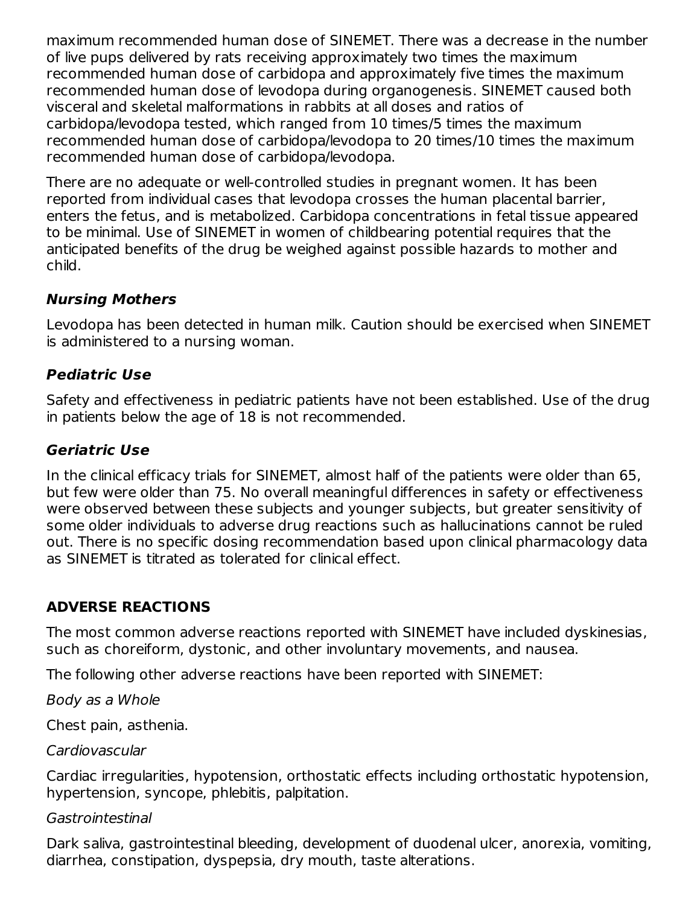maximum recommended human dose of SINEMET. There was a decrease in the number of live pups delivered by rats receiving approximately two times the maximum recommended human dose of carbidopa and approximately five times the maximum recommended human dose of levodopa during organogenesis. SINEMET caused both visceral and skeletal malformations in rabbits at all doses and ratios of carbidopa/levodopa tested, which ranged from 10 times/5 times the maximum recommended human dose of carbidopa/levodopa to 20 times/10 times the maximum recommended human dose of carbidopa/levodopa.

There are no adequate or well-controlled studies in pregnant women. It has been reported from individual cases that levodopa crosses the human placental barrier, enters the fetus, and is metabolized. Carbidopa concentrations in fetal tissue appeared to be minimal. Use of SINEMET in women of childbearing potential requires that the anticipated benefits of the drug be weighed against possible hazards to mother and child.

#### **Nursing Mothers**

Levodopa has been detected in human milk. Caution should be exercised when SINEMET is administered to a nursing woman.

## **Pediatric Use**

Safety and effectiveness in pediatric patients have not been established. Use of the drug in patients below the age of 18 is not recommended.

## **Geriatric Use**

In the clinical efficacy trials for SINEMET, almost half of the patients were older than 65, but few were older than 75. No overall meaningful differences in safety or effectiveness were observed between these subjects and younger subjects, but greater sensitivity of some older individuals to adverse drug reactions such as hallucinations cannot be ruled out. There is no specific dosing recommendation based upon clinical pharmacology data as SINEMET is titrated as tolerated for clinical effect.

# **ADVERSE REACTIONS**

The most common adverse reactions reported with SINEMET have included dyskinesias, such as choreiform, dystonic, and other involuntary movements, and nausea.

The following other adverse reactions have been reported with SINEMET:

Body as a Whole

Chest pain, asthenia.

Cardiovascular

Cardiac irregularities, hypotension, orthostatic effects including orthostatic hypotension, hypertension, syncope, phlebitis, palpitation.

## Gastrointestinal

Dark saliva, gastrointestinal bleeding, development of duodenal ulcer, anorexia, vomiting, diarrhea, constipation, dyspepsia, dry mouth, taste alterations.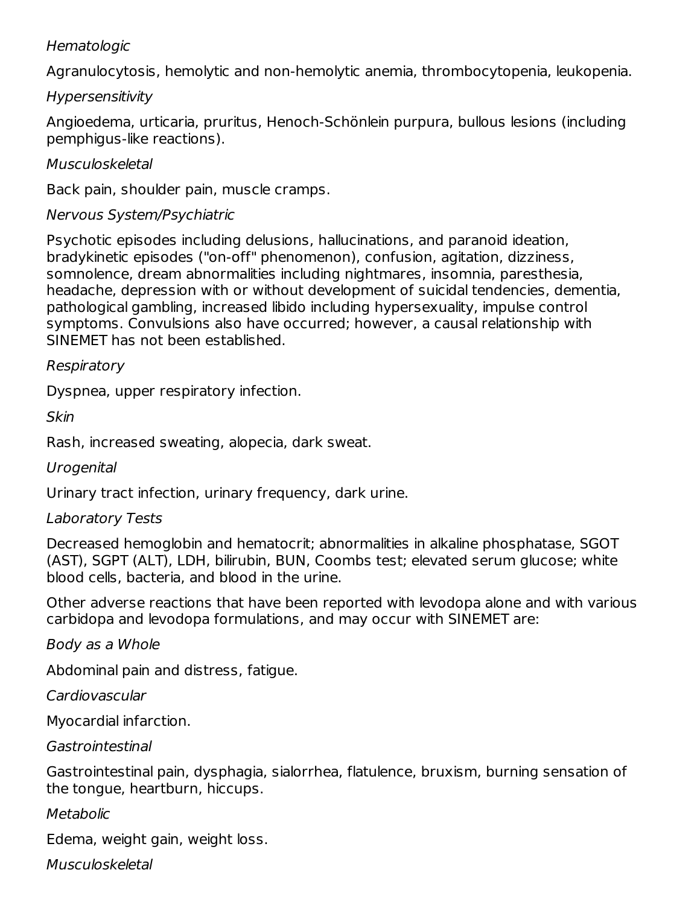#### **Hematologic**

Agranulocytosis, hemolytic and non-hemolytic anemia, thrombocytopenia, leukopenia.

## Hypersensitivity

Angioedema, urticaria, pruritus, Henoch-Schönlein purpura, bullous lesions (including pemphigus-like reactions).

## Musculoskeletal

Back pain, shoulder pain, muscle cramps.

# Nervous System/Psychiatric

Psychotic episodes including delusions, hallucinations, and paranoid ideation, bradykinetic episodes ("on-off" phenomenon), confusion, agitation, dizziness, somnolence, dream abnormalities including nightmares, insomnia, paresthesia, headache, depression with or without development of suicidal tendencies, dementia, pathological gambling, increased libido including hypersexuality, impulse control symptoms. Convulsions also have occurred; however, a causal relationship with SINEMET has not been established.

**Respiratory** 

Dyspnea, upper respiratory infection.

Skin

Rash, increased sweating, alopecia, dark sweat.

## Urogenital

Urinary tract infection, urinary frequency, dark urine.

# Laboratory Tests

Decreased hemoglobin and hematocrit; abnormalities in alkaline phosphatase, SGOT (AST), SGPT (ALT), LDH, bilirubin, BUN, Coombs test; elevated serum glucose; white blood cells, bacteria, and blood in the urine.

Other adverse reactions that have been reported with levodopa alone and with various carbidopa and levodopa formulations, and may occur with SINEMET are:

Body as a Whole

Abdominal pain and distress, fatigue.

Cardiovascular

Myocardial infarction.

Gastrointestinal

Gastrointestinal pain, dysphagia, sialorrhea, flatulence, bruxism, burning sensation of the tongue, heartburn, hiccups.

Metabolic

Edema, weight gain, weight loss.

Musculoskeletal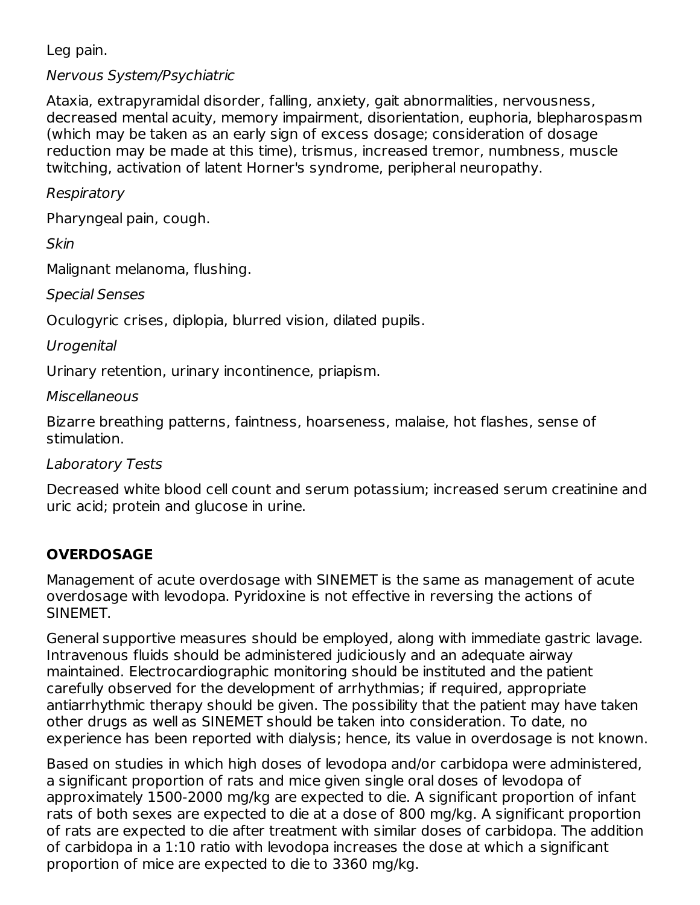Leg pain.

Nervous System/Psychiatric

Ataxia, extrapyramidal disorder, falling, anxiety, gait abnormalities, nervousness, decreased mental acuity, memory impairment, disorientation, euphoria, blepharospasm (which may be taken as an early sign of excess dosage; consideration of dosage reduction may be made at this time), trismus, increased tremor, numbness, muscle twitching, activation of latent Horner's syndrome, peripheral neuropathy.

Respiratory

Pharyngeal pain, cough.

Skin

Malignant melanoma, flushing.

Special Senses

Oculogyric crises, diplopia, blurred vision, dilated pupils.

# Urogenital

Urinary retention, urinary incontinence, priapism.

**Miscellaneous** 

Bizarre breathing patterns, faintness, hoarseness, malaise, hot flashes, sense of stimulation.

# Laboratory Tests

Decreased white blood cell count and serum potassium; increased serum creatinine and uric acid; protein and glucose in urine.

# **OVERDOSAGE**

Management of acute overdosage with SINEMET is the same as management of acute overdosage with levodopa. Pyridoxine is not effective in reversing the actions of SINEMET.

General supportive measures should be employed, along with immediate gastric lavage. Intravenous fluids should be administered judiciously and an adequate airway maintained. Electrocardiographic monitoring should be instituted and the patient carefully observed for the development of arrhythmias; if required, appropriate antiarrhythmic therapy should be given. The possibility that the patient may have taken other drugs as well as SINEMET should be taken into consideration. To date, no experience has been reported with dialysis; hence, its value in overdosage is not known.

Based on studies in which high doses of levodopa and/or carbidopa were administered, a significant proportion of rats and mice given single oral doses of levodopa of approximately 1500-2000 mg/kg are expected to die. A significant proportion of infant rats of both sexes are expected to die at a dose of 800 mg/kg. A significant proportion of rats are expected to die after treatment with similar doses of carbidopa. The addition of carbidopa in a 1:10 ratio with levodopa increases the dose at which a significant proportion of mice are expected to die to 3360 mg/kg.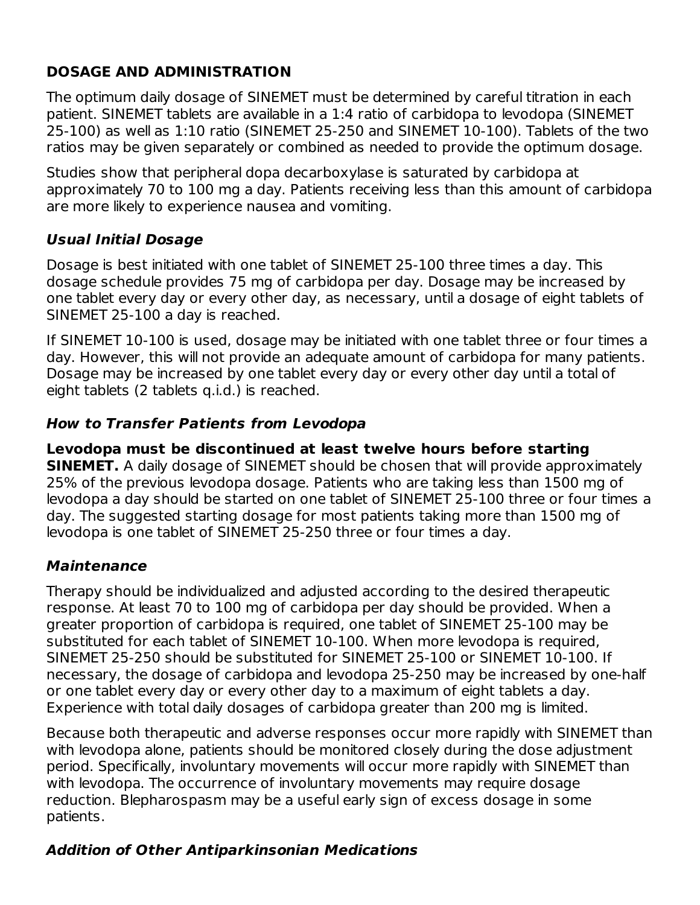## **DOSAGE AND ADMINISTRATION**

The optimum daily dosage of SINEMET must be determined by careful titration in each patient. SINEMET tablets are available in a 1:4 ratio of carbidopa to levodopa (SINEMET 25-100) as well as 1:10 ratio (SINEMET 25-250 and SINEMET 10-100). Tablets of the two ratios may be given separately or combined as needed to provide the optimum dosage.

Studies show that peripheral dopa decarboxylase is saturated by carbidopa at approximately 70 to 100 mg a day. Patients receiving less than this amount of carbidopa are more likely to experience nausea and vomiting.

## **Usual Initial Dosage**

Dosage is best initiated with one tablet of SINEMET 25-100 three times a day. This dosage schedule provides 75 mg of carbidopa per day. Dosage may be increased by one tablet every day or every other day, as necessary, until a dosage of eight tablets of SINEMET 25-100 a day is reached.

If SINEMET 10-100 is used, dosage may be initiated with one tablet three or four times a day. However, this will not provide an adequate amount of carbidopa for many patients. Dosage may be increased by one tablet every day or every other day until a total of eight tablets (2 tablets q.i.d.) is reached.

## **How to Transfer Patients from Levodopa**

**Levodopa must be discontinued at least twelve hours before starting SINEMET.** A daily dosage of SINEMET should be chosen that will provide approximately 25% of the previous levodopa dosage. Patients who are taking less than 1500 mg of levodopa a day should be started on one tablet of SINEMET 25-100 three or four times a day. The suggested starting dosage for most patients taking more than 1500 mg of levodopa is one tablet of SINEMET 25-250 three or four times a day.

## **Maintenance**

Therapy should be individualized and adjusted according to the desired therapeutic response. At least 70 to 100 mg of carbidopa per day should be provided. When a greater proportion of carbidopa is required, one tablet of SINEMET 25-100 may be substituted for each tablet of SINEMET 10-100. When more levodopa is required, SINEMET 25-250 should be substituted for SINEMET 25-100 or SINEMET 10-100. If necessary, the dosage of carbidopa and levodopa 25-250 may be increased by one-half or one tablet every day or every other day to a maximum of eight tablets a day. Experience with total daily dosages of carbidopa greater than 200 mg is limited.

Because both therapeutic and adverse responses occur more rapidly with SINEMET than with levodopa alone, patients should be monitored closely during the dose adjustment period. Specifically, involuntary movements will occur more rapidly with SINEMET than with levodopa. The occurrence of involuntary movements may require dosage reduction. Blepharospasm may be a useful early sign of excess dosage in some patients.

## **Addition of Other Antiparkinsonian Medications**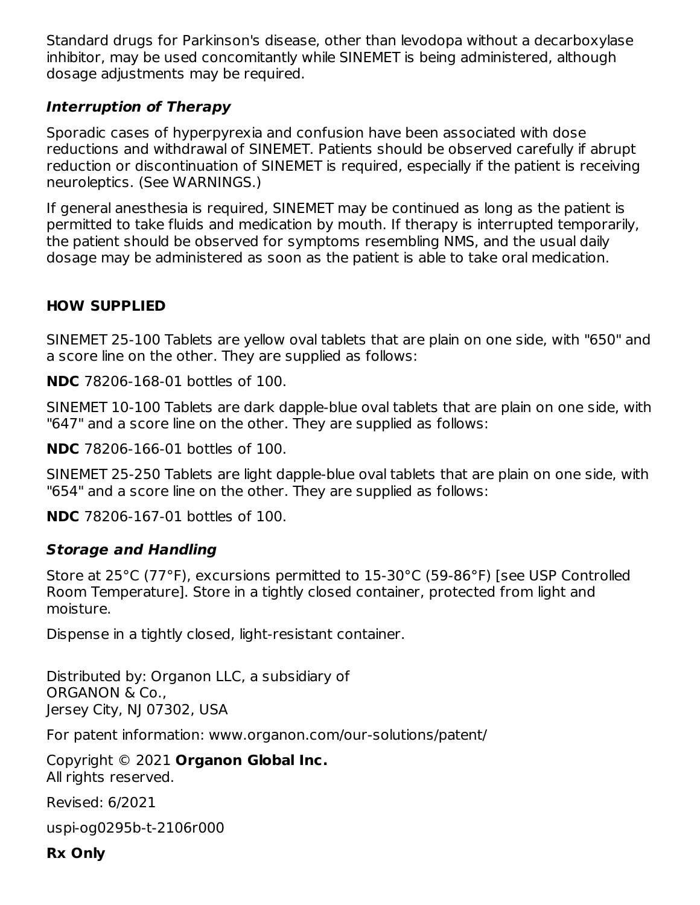Standard drugs for Parkinson's disease, other than levodopa without a decarboxylase inhibitor, may be used concomitantly while SINEMET is being administered, although dosage adjustments may be required.

## **Interruption of Therapy**

Sporadic cases of hyperpyrexia and confusion have been associated with dose reductions and withdrawal of SINEMET. Patients should be observed carefully if abrupt reduction or discontinuation of SINEMET is required, especially if the patient is receiving neuroleptics. (See WARNINGS.)

If general anesthesia is required, SINEMET may be continued as long as the patient is permitted to take fluids and medication by mouth. If therapy is interrupted temporarily, the patient should be observed for symptoms resembling NMS, and the usual daily dosage may be administered as soon as the patient is able to take oral medication.

# **HOW SUPPLIED**

SINEMET 25-100 Tablets are yellow oval tablets that are plain on one side, with "650" and a score line on the other. They are supplied as follows:

**NDC** 78206-168-01 bottles of 100.

SINEMET 10-100 Tablets are dark dapple-blue oval tablets that are plain on one side, with "647" and a score line on the other. They are supplied as follows:

**NDC** 78206-166-01 bottles of 100.

SINEMET 25-250 Tablets are light dapple-blue oval tablets that are plain on one side, with "654" and a score line on the other. They are supplied as follows:

**NDC** 78206-167-01 bottles of 100.

## **Storage and Handling**

Store at 25°C (77°F), excursions permitted to 15-30°C (59-86°F) [see USP Controlled Room Temperature]. Store in a tightly closed container, protected from light and moisture.

Dispense in a tightly closed, light-resistant container.

Distributed by: Organon LLC, a subsidiary of ORGANON & Co., Jersey City, NJ 07302, USA

For patent information: www.organon.com/our-solutions/patent/

Copyright © 2021 **Organon Global Inc.** All rights reserved.

Revised: 6/2021

uspi-og0295b-t-2106r000

**Rx Only**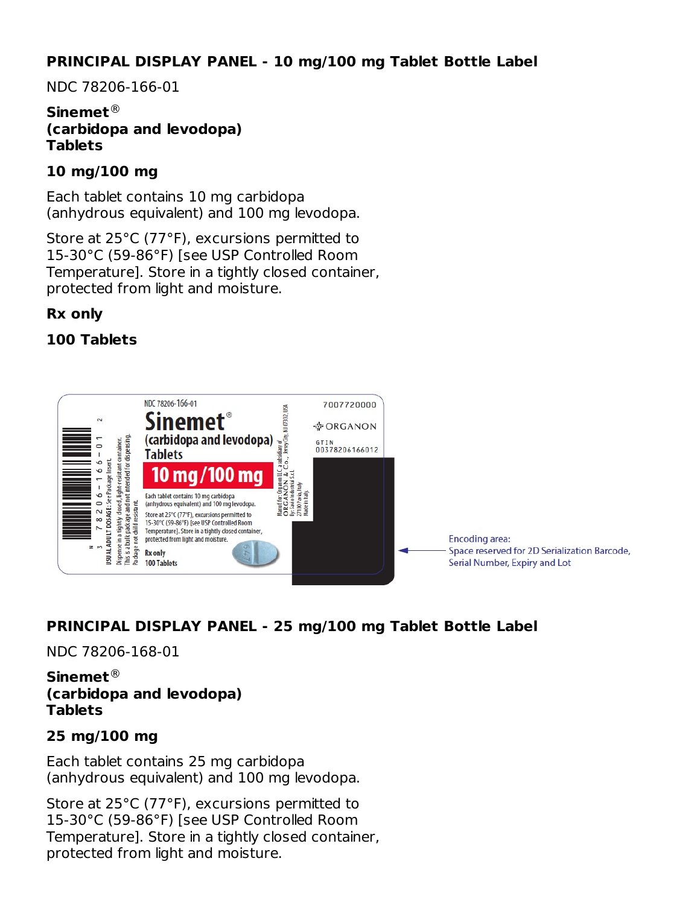## **PRINCIPAL DISPLAY PANEL - 10 mg/100 mg Tablet Bottle Label**

NDC 78206-166-01

#### **Sinemet** ® **(carbidopa and levodopa) Tablets**

#### **10 mg/100 mg**

Each tablet contains 10 mg carbidopa (anhydrous equivalent) and 100 mg levodopa.

Store at 25°C (77°F), excursions permitted to 15-30°C (59-86°F) [see USP Controlled Room Temperature]. Store in a tightly closed container, protected from light and moisture.

**Rx only**

#### **100 Tablets**



# **PRINCIPAL DISPLAY PANEL - 25 mg/100 mg Tablet Bottle Label**

NDC 78206-168-01

#### **Sinemet** ®**(carbidopa and levodopa) Tablets**

#### **25 mg/100 mg**

Each tablet contains 25 mg carbidopa (anhydrous equivalent) and 100 mg levodopa.

Store at 25°C (77°F), excursions permitted to 15-30°C (59-86°F) [see USP Controlled Room Temperature]. Store in a tightly closed container, protected from light and moisture.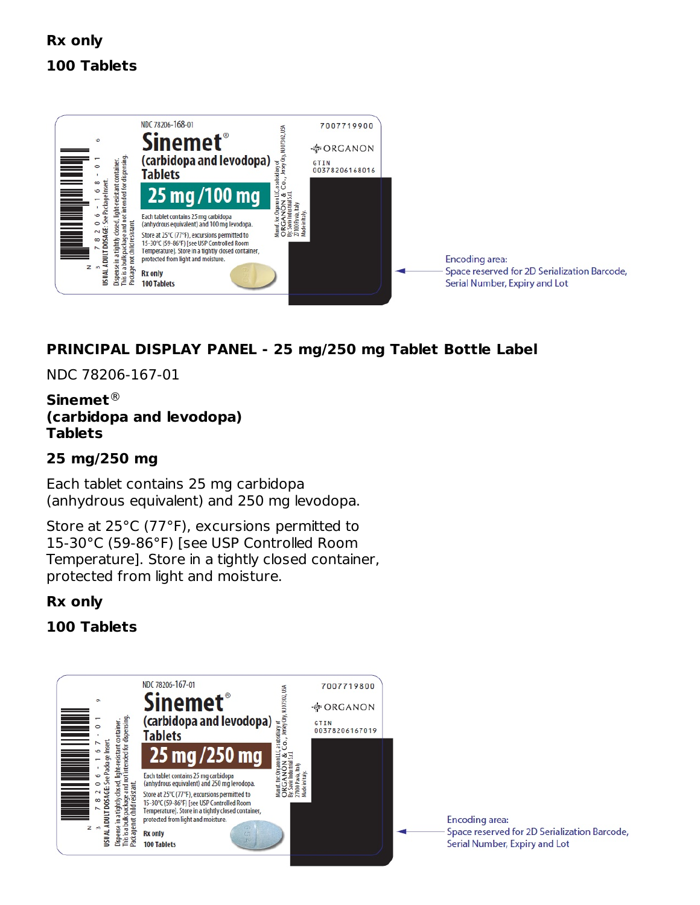# **Rx only 100 Tablets**



# **PRINCIPAL DISPLAY PANEL - 25 mg/250 mg Tablet Bottle Label**

NDC 78206-167-01

#### **Sinemet** ®**(carbidopa and levodopa) Tablets**

## **25 mg/250 mg**

Each tablet contains 25 mg carbidopa (anhydrous equivalent) and 250 mg levodopa.

Store at 25°C (77°F), excursions permitted to 15-30°C (59-86°F) [see USP Controlled Room Temperature]. Store in a tightly closed container, protected from light and moisture.

#### **Rx only**

# **100 Tablets**

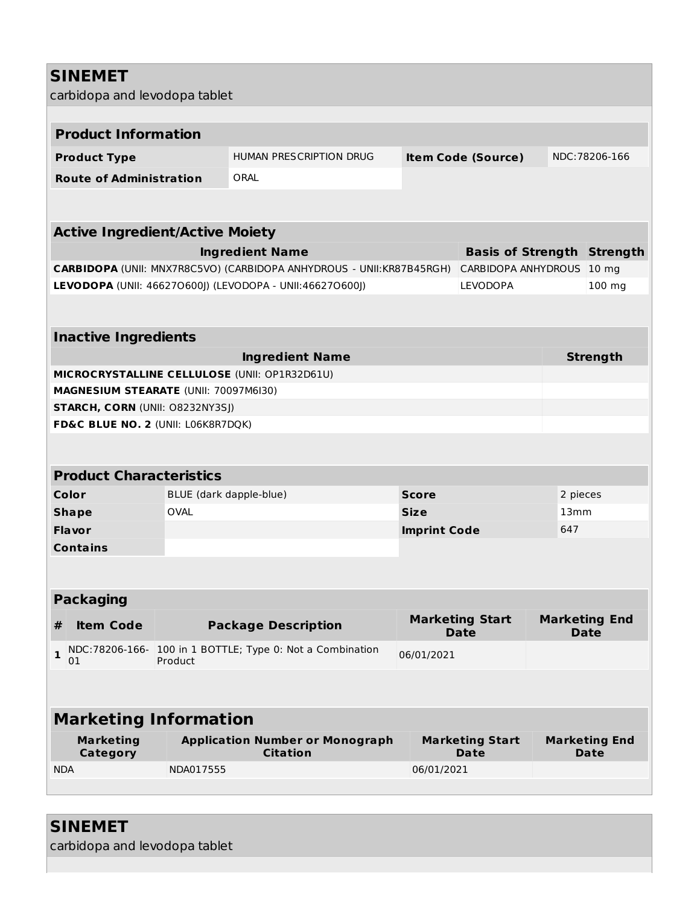| <b>SINEMET</b>                                |                                        |                                                             |                                                                      |                                       |                                       |                              |                                     |  |  |  |
|-----------------------------------------------|----------------------------------------|-------------------------------------------------------------|----------------------------------------------------------------------|---------------------------------------|---------------------------------------|------------------------------|-------------------------------------|--|--|--|
|                                               | carbidopa and levodopa tablet          |                                                             |                                                                      |                                       |                                       |                              |                                     |  |  |  |
|                                               |                                        |                                                             |                                                                      |                                       |                                       |                              |                                     |  |  |  |
| <b>Product Information</b>                    |                                        |                                                             |                                                                      |                                       |                                       |                              |                                     |  |  |  |
|                                               | <b>Product Type</b>                    | <b>HUMAN PRESCRIPTION DRUG</b><br><b>Item Code (Source)</b> |                                                                      |                                       |                                       | NDC:78206-166                |                                     |  |  |  |
|                                               | <b>Route of Administration</b>         |                                                             | ORAL                                                                 |                                       |                                       |                              |                                     |  |  |  |
|                                               |                                        |                                                             |                                                                      |                                       |                                       |                              |                                     |  |  |  |
|                                               |                                        |                                                             |                                                                      |                                       |                                       |                              |                                     |  |  |  |
|                                               | <b>Active Ingredient/Active Moiety</b> |                                                             |                                                                      |                                       |                                       |                              |                                     |  |  |  |
|                                               |                                        |                                                             | <b>Ingredient Name</b>                                               |                                       | <b>Basis of Strength Strength</b>     |                              |                                     |  |  |  |
|                                               |                                        |                                                             | CARBIDOPA (UNII: MNX7R8C5VO) (CARBIDOPA ANHYDROUS - UNII:KR87B45RGH) |                                       | CARBIDOPA ANHYDROUS                   |                              | 10 <sub>mg</sub>                    |  |  |  |
|                                               |                                        |                                                             | LEVODOPA (UNII: 466270600J) (LEVODOPA - UNII:466270600J)             |                                       | <b>LEVODOPA</b>                       |                              | 100 mg                              |  |  |  |
|                                               |                                        |                                                             |                                                                      |                                       |                                       |                              |                                     |  |  |  |
|                                               | <b>Inactive Ingredients</b>            |                                                             |                                                                      |                                       |                                       |                              |                                     |  |  |  |
|                                               |                                        |                                                             | <b>Ingredient Name</b>                                               |                                       |                                       |                              | <b>Strength</b>                     |  |  |  |
| MICROCRYSTALLINE CELLULOSE (UNII: OP1R32D61U) |                                        |                                                             |                                                                      |                                       |                                       |                              |                                     |  |  |  |
|                                               | MAGNESIUM STEARATE (UNII: 70097M6I30)  |                                                             |                                                                      |                                       |                                       |                              |                                     |  |  |  |
|                                               | STARCH, CORN (UNII: O8232NY3SJ)        |                                                             |                                                                      |                                       |                                       |                              |                                     |  |  |  |
|                                               | FD&C BLUE NO. 2 (UNII: L06K8R7DQK)     |                                                             |                                                                      |                                       |                                       |                              |                                     |  |  |  |
|                                               |                                        |                                                             |                                                                      |                                       |                                       |                              |                                     |  |  |  |
|                                               |                                        |                                                             |                                                                      |                                       |                                       |                              |                                     |  |  |  |
|                                               | <b>Product Characteristics</b>         |                                                             |                                                                      |                                       |                                       |                              |                                     |  |  |  |
| Color<br>BLUE (dark dapple-blue)              |                                        |                                                             |                                                                      | <b>Score</b>                          |                                       | 2 pieces                     |                                     |  |  |  |
| <b>OVAL</b><br><b>Shape</b>                   |                                        |                                                             |                                                                      | <b>Size</b>                           |                                       | 13mm<br>647                  |                                     |  |  |  |
| Flavor<br><b>Contains</b>                     |                                        |                                                             |                                                                      | <b>Imprint Code</b>                   |                                       |                              |                                     |  |  |  |
|                                               |                                        |                                                             |                                                                      |                                       |                                       |                              |                                     |  |  |  |
|                                               |                                        |                                                             |                                                                      |                                       |                                       |                              |                                     |  |  |  |
|                                               | <b>Packaging</b>                       |                                                             |                                                                      |                                       |                                       |                              |                                     |  |  |  |
| #                                             | <b>Item Code</b>                       |                                                             | <b>Package Description</b>                                           |                                       | <b>Marketing Start</b><br><b>Date</b> |                              | <b>Marketing End</b><br><b>Date</b> |  |  |  |
| $\mathbf{1}$                                  | NDC: 78206-166-<br>01                  | Product                                                     | 100 in 1 BOTTLE; Type 0: Not a Combination                           | 06/01/2021                            |                                       |                              |                                     |  |  |  |
|                                               |                                        |                                                             |                                                                      |                                       |                                       |                              |                                     |  |  |  |
| <b>Marketing Information</b>                  |                                        |                                                             |                                                                      |                                       |                                       |                              |                                     |  |  |  |
| <b>Marketing</b><br>Category                  |                                        |                                                             | <b>Application Number or Monograph</b><br><b>Citation</b>            | <b>Marketing Start</b><br><b>Date</b> |                                       | <b>Marketing End</b><br>Date |                                     |  |  |  |
| <b>NDA</b>                                    |                                        | NDA017555                                                   |                                                                      | 06/01/2021                            |                                       |                              |                                     |  |  |  |
|                                               |                                        |                                                             |                                                                      |                                       |                                       |                              |                                     |  |  |  |

# **SINEMET**

carbidopa and levodopa tablet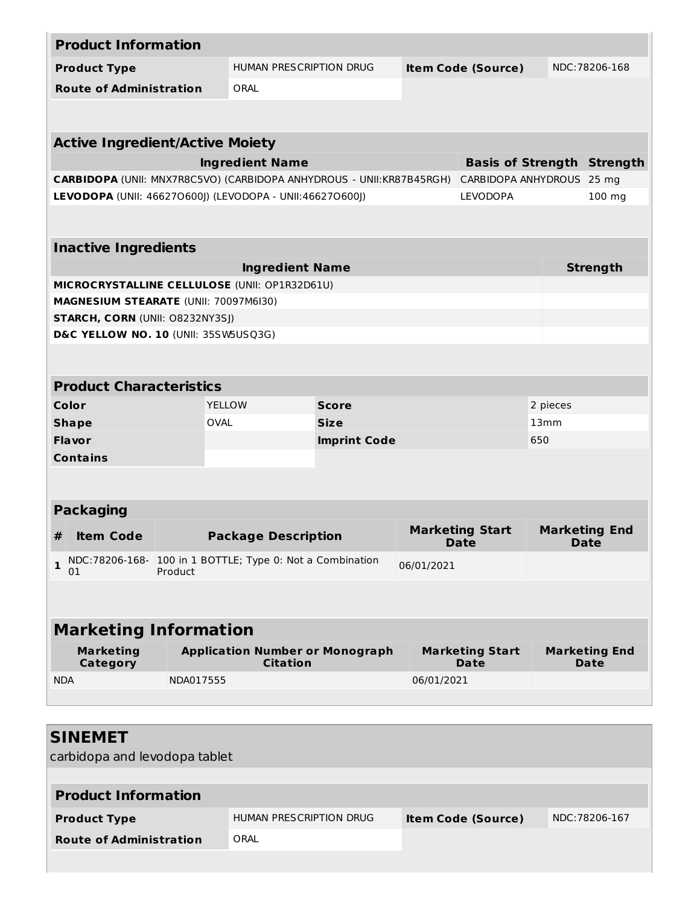| <b>Product Information</b>                                           |           |                                                           |                            |            |                                                          |                 |                                     |  |
|----------------------------------------------------------------------|-----------|-----------------------------------------------------------|----------------------------|------------|----------------------------------------------------------|-----------------|-------------------------------------|--|
| <b>Product Type</b>                                                  |           |                                                           | HUMAN PRESCRIPTION DRUG    |            | <b>Item Code (Source)</b>                                |                 | NDC:78206-168                       |  |
| <b>Route of Administration</b>                                       |           | ORAI                                                      |                            |            |                                                          |                 |                                     |  |
|                                                                      |           |                                                           |                            |            |                                                          |                 |                                     |  |
|                                                                      |           |                                                           |                            |            |                                                          |                 |                                     |  |
| <b>Active Ingredient/Active Moiety</b>                               |           |                                                           |                            |            |                                                          |                 |                                     |  |
| CARBIDOPA (UNII: MNX7R8C5VO) (CARBIDOPA ANHYDROUS - UNII:KR87B45RGH) |           | <b>Ingredient Name</b>                                    |                            |            | <b>Basis of Strength Strength</b><br>CARBIDOPA ANHYDROUS |                 | 25 mg                               |  |
| LEVODOPA (UNII: 466270600J) (LEVODOPA - UNII:466270600J)             |           |                                                           |                            |            | <b>LEVODOPA</b>                                          |                 | 100 mg                              |  |
|                                                                      |           |                                                           |                            |            |                                                          |                 |                                     |  |
| <b>Inactive Ingredients</b>                                          |           |                                                           |                            |            |                                                          |                 |                                     |  |
|                                                                      |           | <b>Ingredient Name</b>                                    |                            |            |                                                          | <b>Strength</b> |                                     |  |
| MICROCRYSTALLINE CELLULOSE (UNII: OP1R32D61U)                        |           |                                                           |                            |            |                                                          |                 |                                     |  |
| MAGNESIUM STEARATE (UNII: 70097M6I30)                                |           |                                                           |                            |            |                                                          |                 |                                     |  |
| <b>STARCH, CORN (UNII: O8232NY3SJ)</b>                               |           |                                                           |                            |            |                                                          |                 |                                     |  |
| D&C YELLOW NO. 10 (UNII: 35SW5USQ3G)                                 |           |                                                           |                            |            |                                                          |                 |                                     |  |
|                                                                      |           |                                                           |                            |            |                                                          |                 |                                     |  |
| <b>Product Characteristics</b>                                       |           |                                                           |                            |            |                                                          |                 |                                     |  |
| Color                                                                |           | <b>YELLOW</b>                                             | <b>Score</b>               |            |                                                          | 2 pieces        |                                     |  |
| <b>OVAL</b><br><b>Shape</b>                                          |           |                                                           | <b>Size</b>                |            |                                                          | 13mm            |                                     |  |
| Flavor                                                               |           |                                                           | <b>Imprint Code</b>        |            |                                                          | 650             |                                     |  |
| <b>Contains</b>                                                      |           |                                                           |                            |            |                                                          |                 |                                     |  |
|                                                                      |           |                                                           |                            |            |                                                          |                 |                                     |  |
| <b>Packaging</b>                                                     |           |                                                           |                            |            |                                                          |                 |                                     |  |
| #<br><b>Item Code</b>                                                |           |                                                           | <b>Package Description</b> |            | <b>Marketing Start</b><br><b>Date</b>                    |                 | <b>Marketing End</b><br><b>Date</b> |  |
| $\mathbf{1}$<br>01                                                   | Product   | NDC:78206-168- 100 in 1 BOTTLE; Type 0: Not a Combination |                            | 06/01/2021 |                                                          |                 |                                     |  |
|                                                                      |           |                                                           |                            |            |                                                          |                 |                                     |  |
| <b>Marketing Information</b>                                         |           |                                                           |                            |            |                                                          |                 |                                     |  |
| <b>Marketing</b>                                                     |           | <b>Application Number or Monograph</b>                    |                            |            | <b>Marketing Start</b>                                   |                 | <b>Marketing End</b>                |  |
| <b>Category</b>                                                      |           | <b>Citation</b>                                           |                            |            | <b>Date</b>                                              |                 | Date                                |  |
| <b>NDA</b>                                                           | NDA017555 |                                                           |                            | 06/01/2021 |                                                          |                 |                                     |  |
|                                                                      |           |                                                           |                            |            |                                                          |                 |                                     |  |
| <b>SINEMET</b>                                                       |           |                                                           |                            |            |                                                          |                 |                                     |  |

carbidopa and levodopa tablet

| <b>Product Information</b>     |                         |                           |               |  |  |  |  |
|--------------------------------|-------------------------|---------------------------|---------------|--|--|--|--|
| <b>Product Type</b>            | HUMAN PRESCRIPTION DRUG | <b>Item Code (Source)</b> | NDC:78206-167 |  |  |  |  |
| <b>Route of Administration</b> | ORAL                    |                           |               |  |  |  |  |